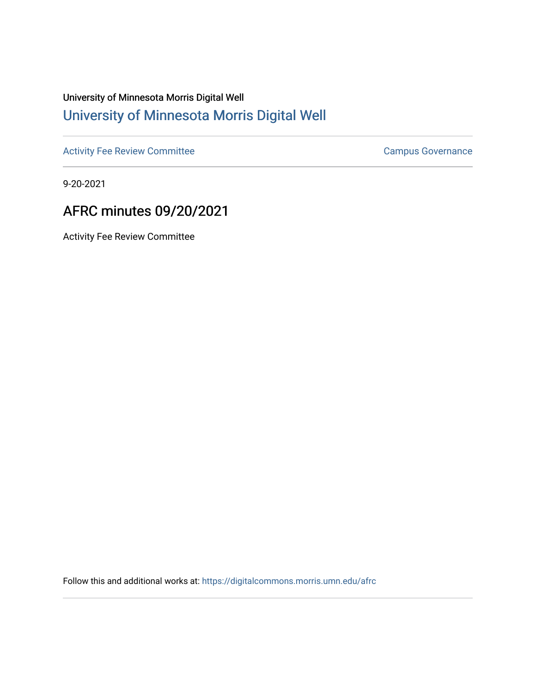## University of Minnesota Morris Digital Well [University of Minnesota Morris Digital Well](https://digitalcommons.morris.umn.edu/)

[Activity Fee Review Committee](https://digitalcommons.morris.umn.edu/afrc) **Campus Governance** Campus Governance

9-20-2021

## AFRC minutes 09/20/2021

Activity Fee Review Committee

Follow this and additional works at: [https://digitalcommons.morris.umn.edu/afrc](https://digitalcommons.morris.umn.edu/afrc?utm_source=digitalcommons.morris.umn.edu%2Fafrc%2F51&utm_medium=PDF&utm_campaign=PDFCoverPages)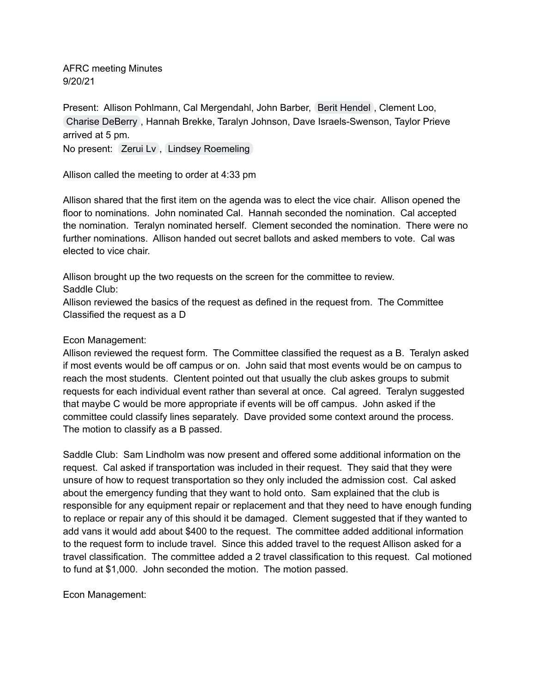AFRC meeting Minutes 9/20/21

Present: Allison Pohlmann, Cal Mergendahl, John Barber, Berit [Hendel](mailto:hende853@morris.umn.edu) , Clement Loo, Charise [DeBerry](mailto:cdeberry@morris.umn.edu) , Hannah Brekke, Taralyn Johnson, Dave Israels-Swenson, Taylor Prieve arrived at 5 pm.

No present: [Zerui](mailto:lv000013@morris.umn.edu) Lv, Lindsey [Roemeling](mailto:Roeme039@morris.umn.edu)

Allison called the meeting to order at 4:33 pm

Allison shared that the first item on the agenda was to elect the vice chair. Allison opened the floor to nominations. John nominated Cal. Hannah seconded the nomination. Cal accepted the nomination. Teralyn nominated herself. Clement seconded the nomination. There were no further nominations. Allison handed out secret ballots and asked members to vote. Cal was elected to vice chair.

Allison brought up the two requests on the screen for the committee to review. Saddle Club:

Allison reviewed the basics of the request as defined in the request from. The Committee Classified the request as a D

## Econ Management:

Allison reviewed the request form. The Committee classified the request as a B. Teralyn asked if most events would be off campus or on. John said that most events would be on campus to reach the most students. Clentent pointed out that usually the club askes groups to submit requests for each individual event rather than several at once. Cal agreed. Teralyn suggested that maybe C would be more appropriate if events will be off campus. John asked if the committee could classify lines separately. Dave provided some context around the process. The motion to classify as a B passed.

Saddle Club: Sam Lindholm was now present and offered some additional information on the request. Cal asked if transportation was included in their request. They said that they were unsure of how to request transportation so they only included the admission cost. Cal asked about the emergency funding that they want to hold onto. Sam explained that the club is responsible for any equipment repair or replacement and that they need to have enough funding to replace or repair any of this should it be damaged. Clement suggested that if they wanted to add vans it would add about \$400 to the request. The committee added additional information to the request form to include travel. Since this added travel to the request Allison asked for a travel classification. The committee added a 2 travel classification to this request. Cal motioned to fund at \$1,000. John seconded the motion. The motion passed.

Econ Management: